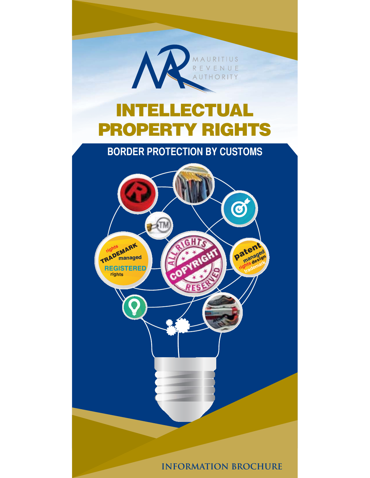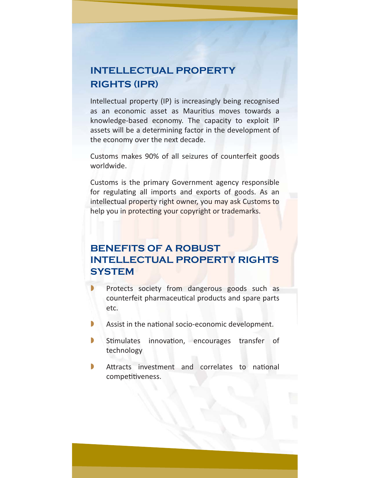# **INTELLECTUAL PROPERTYRIGHTS (IPR)**

Intellectual property (IP) is increasingly being recognised as an economic asset as Mauritius moves towards a knowledge-based economy. The capacity to exploit IP assets will be a determining factor in the development of the economy over the next decade.

Customs makes 90% of all seizures of counterfeit goods worldwide.

Customs is the primary Government agency responsible for regulating all imports and exports of goods. As an intellectual property right owner, you may ask Customs to help you in protecting your copyright or trademarks.

# **BENEFITS OF A ROBUST INTELLECTUAL PROPERTY RIGHTS SYSTEM**

- Protects society from dangerous goods such as counterfeit pharmaceutical products and spare parts etc.
- **B** Assist in the national socio-economic development.
- Inter Stimulates innovation, encourages transfer of technology
- I Attracts investment and correlates to national competitiveness.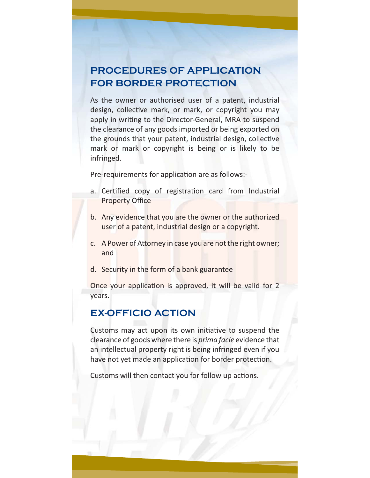## **PROCEDURES OF APPLICATION FOR BORDER PROTECTION**

As the owner or authorised user of a patent, industrial design, collective mark, or mark, or copyright you may apply in writing to the Director-General, MRA to suspend the clearance of any goods imported or being exported on the grounds that your patent, industrial design, collective mark or mark or copyright is being or is likely to be infringed.

Pre-requirements for application are as follows:-

- a. Certified copy of registration card from Industrial Property Office
- b. Any evidence that you are the owner or the authorized user of a patent, industrial design or a copyright.
- c. A Power of Attorney in case you are not the right owner; and
- d. Security in the form of a bank guarantee

Once your application is approved, it will be valid for 2 years.

### **EX-OFFICIO ACTION**

Customs may act upon its own initiative to suspend the clearance of goods where there is *prima facie* evidence that an intellectual property right is being infringed even if you have not yet made an application for border protection.

Customs will then contact you for follow up actions.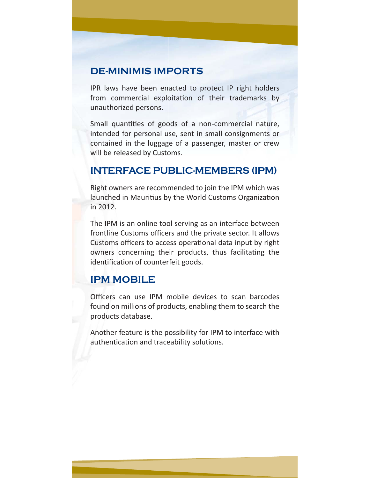### **DE-MINIMIS IMPORTS**

IPR laws have been enacted to protect IP right holders from commercial exploitation of their trademarks by unauthorized persons.

Small quantities of goods of a non-commercial nature, intended for personal use, sent in small consignments or contained in the luggage of a passenger, master or crew will be released by Customs.

#### **INTERFACE PUBLIC-MEMBERS (IPM)**

Right owners are recommended to join the IPM which was launched in Mauritius by the World Customs Organization in 2012.

The IPM is an online tool serving as an interface between frontline Customs officers and the private sector. It allows Customs officers to access operational data input by right owners concerning their products, thus facilitating the identification of counterfeit goods.

#### **IPM MOBILE**

Officers can use IPM mobile devices to scan barcodes found on millions of products, enabling them to search the products database.

Another feature is the possibility for IPM to interface with authentication and traceability solutions.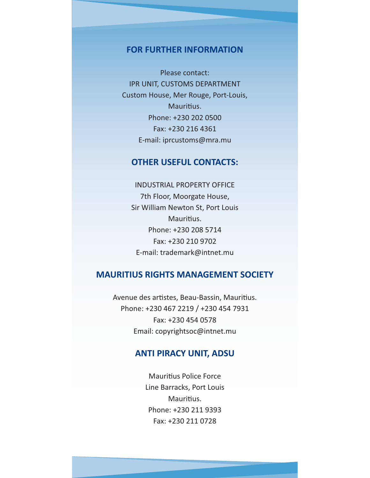#### **FOR FURTHER INFORMATION**

Please contact: IPR UNIT, CUSTOMS DEPARTMENT Custom House, Mer Rouge, Port-Louis, Mauritius. Phone: +230 202 0500 Fax: +230 216 4361 E-mail: iprcustoms@mra.mu

#### **OTHER USEFUL CONTACTS:**

INDUSTRIAL PROPERTY OFFICE 7th Floor, Moorgate House, Sir William Newton St, Port Louis Mauritius. Phone: +230 208 5714 Fax: +230 210 9702 E-mail: trademark@intnet.mu

## **MAURITIUS RIGHTS MANAGEMENT SOCIETY**

Avenue des artistes, Beau-Bassin, Mauritius. Phone: +230 467 2219 / +230 454 7931 Fax: +230 454 0578 Email: copyrightsoc@intnet.mu

#### **ANTI PIRACY UNIT, ADSU**

Mauritius Police Force Line Barracks, Port Louis Mauritius. Phone: +230 211 9393 Fax: +230 211 0728